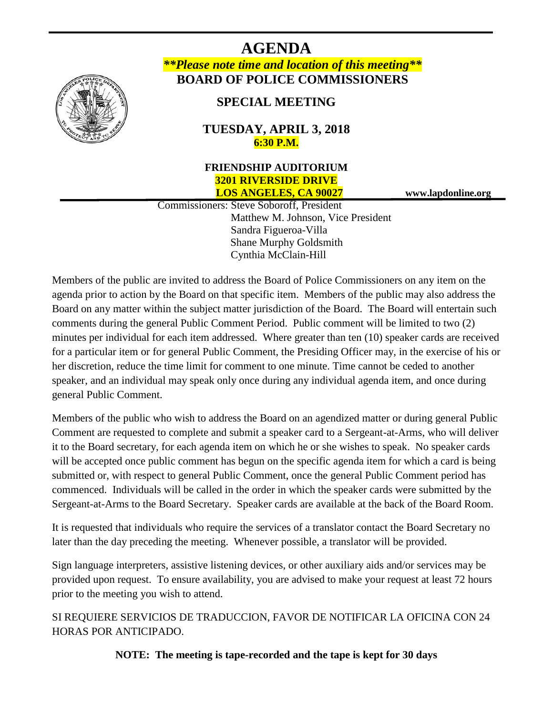

**AGENDA** *\*\*Please note time and location of this meeting\*\** **BOARD OF POLICE COMMISSIONERS**

**SPECIAL MEETING**

**TUESDAY, APRIL 3, 2018 6:30 P.M.**

# **FRIENDSHIP AUDITORIUM 3201 RIVERSIDE DRIVE LOS ANGELES, CA 90027 www.lapdonline.org**

 Commissioners: Steve Soboroff, President Matthew M. Johnson, Vice President Sandra Figueroa-Villa Shane Murphy Goldsmith Cynthia McClain-Hill

Members of the public are invited to address the Board of Police Commissioners on any item on the agenda prior to action by the Board on that specific item. Members of the public may also address the Board on any matter within the subject matter jurisdiction of the Board. The Board will entertain such comments during the general Public Comment Period. Public comment will be limited to two (2) minutes per individual for each item addressed. Where greater than ten (10) speaker cards are received for a particular item or for general Public Comment, the Presiding Officer may, in the exercise of his or her discretion, reduce the time limit for comment to one minute. Time cannot be ceded to another speaker, and an individual may speak only once during any individual agenda item, and once during general Public Comment.

Members of the public who wish to address the Board on an agendized matter or during general Public Comment are requested to complete and submit a speaker card to a Sergeant-at-Arms, who will deliver it to the Board secretary, for each agenda item on which he or she wishes to speak. No speaker cards will be accepted once public comment has begun on the specific agenda item for which a card is being submitted or, with respect to general Public Comment, once the general Public Comment period has commenced. Individuals will be called in the order in which the speaker cards were submitted by the Sergeant-at-Arms to the Board Secretary. Speaker cards are available at the back of the Board Room.

It is requested that individuals who require the services of a translator contact the Board Secretary no later than the day preceding the meeting. Whenever possible, a translator will be provided.

Sign language interpreters, assistive listening devices, or other auxiliary aids and/or services may be provided upon request. To ensure availability, you are advised to make your request at least 72 hours prior to the meeting you wish to attend.

SI REQUIERE SERVICIOS DE TRADUCCION, FAVOR DE NOTIFICAR LA OFICINA CON 24 HORAS POR ANTICIPADO.

**NOTE: The meeting is tape-recorded and the tape is kept for 30 days**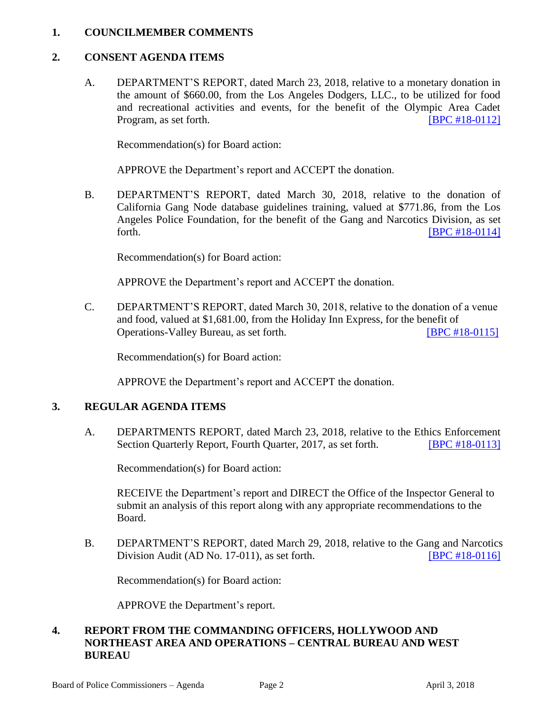#### **1. COUNCILMEMBER COMMENTS**

### **2. CONSENT AGENDA ITEMS**

A. DEPARTMENT'S REPORT, dated March 23, 2018, relative to a monetary donation in the amount of \$660.00, from the Los Angeles Dodgers, LLC., to be utilized for food and recreational activities and events, for the benefit of the Olympic Area Cadet Program, as set forth. **IDPC #18-0112** 

Recommendation(s) for Board action:

APPROVE the Department's report and ACCEPT the donation.

B. DEPARTMENT'S REPORT, dated March 30, 2018, relative to the donation of California Gang Node database guidelines training, valued at \$771.86, from the Los Angeles Police Foundation, for the benefit of the Gang and Narcotics Division, as set forth. **[\[BPC #18-0114\]](http://www.lapdpolicecom.lacity.org/040318/BPC_18-0114.pdf)** 

Recommendation(s) for Board action:

APPROVE the Department's report and ACCEPT the donation.

C. DEPARTMENT'S REPORT, dated March 30, 2018, relative to the donation of a venue and food, valued at \$1,681.00, from the Holiday Inn Express, for the benefit of Operations-Valley Bureau, as set forth. [\[BPC #18-0115\]](http://www.lapdpolicecom.lacity.org/040318/BPC_18-0115.pdf)

Recommendation(s) for Board action:

APPROVE the Department's report and ACCEPT the donation.

#### **3. REGULAR AGENDA ITEMS**

A. DEPARTMENTS REPORT, dated March 23, 2018, relative to the Ethics Enforcement Section Quarterly Report, Fourth Quarter, 2017, as set forth. **[\[BPC #18-0113\]](http://www.lapdpolicecom.lacity.org/040318/BPC_18-0113.pdf)** 

Recommendation(s) for Board action:

RECEIVE the Department's report and DIRECT the Office of the Inspector General to submit an analysis of this report along with any appropriate recommendations to the Board.

B. DEPARTMENT'S REPORT, dated March 29, 2018, relative to the Gang and Narcotics Division Audit (AD No. 17-011), as set forth. **[\[BPC #18-0116\]](http://www.lapdpolicecom.lacity.org/040318/BPC_18-0116.pdf)** 

Recommendation(s) for Board action:

APPROVE the Department's report.

### **4. REPORT FROM THE COMMANDING OFFICERS, HOLLYWOOD AND NORTHEAST AREA AND OPERATIONS – CENTRAL BUREAU AND WEST BUREAU**